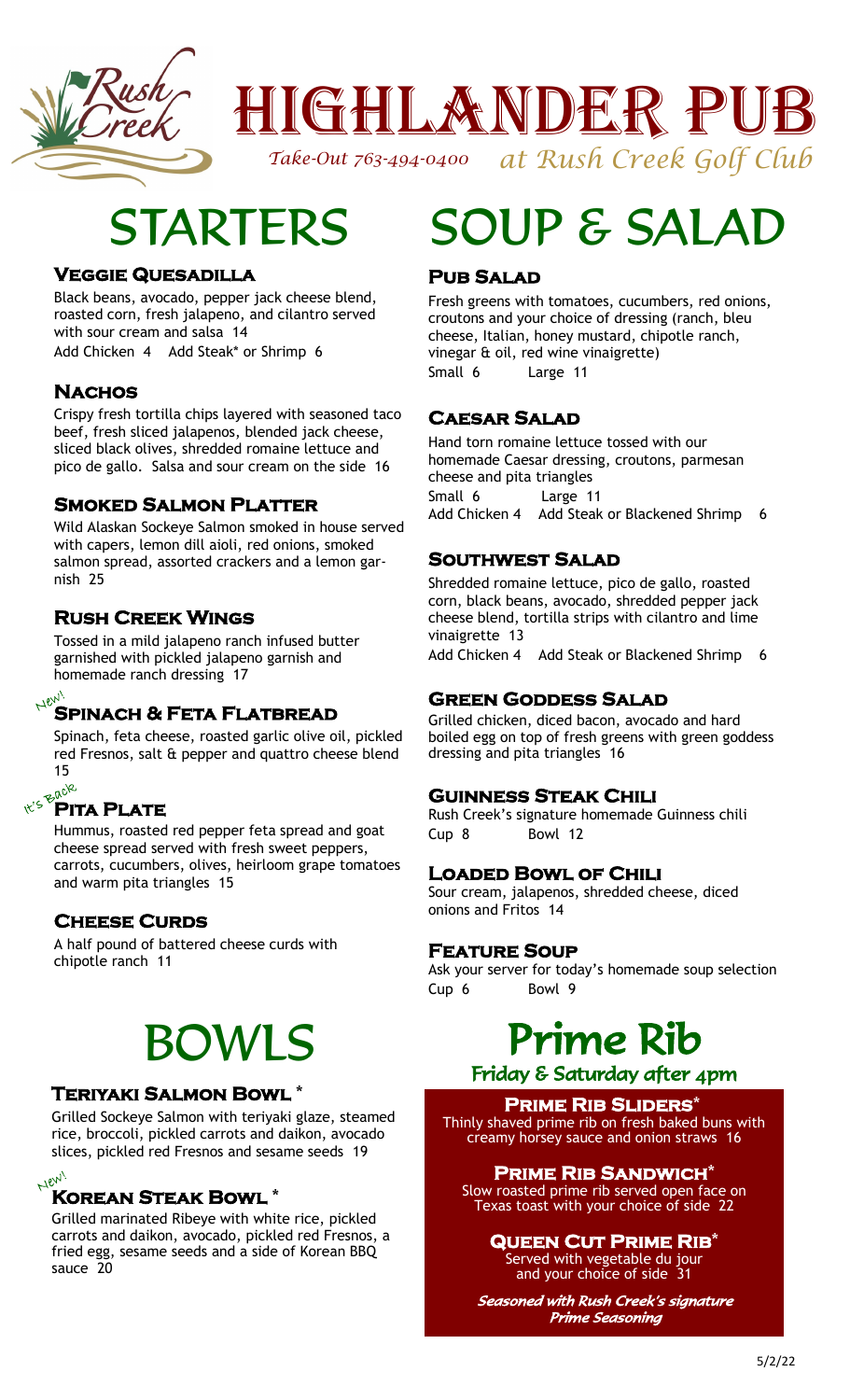

## Highlander Pub *at Rush Creek Golf Club*

*Take-Out 763-494-0400* 

## STARTERS

### **Veggie Quesadilla**

Black beans, avocado, pepper jack cheese blend, roasted corn, fresh jalapeno, and cilantro served with sour cream and salsa 14

Add Chicken 4 Add Steak\* or Shrimp 6

### **Nachos**

Crispy fresh tortilla chips layered with seasoned taco beef, fresh sliced jalapenos, blended jack cheese, sliced black olives, shredded romaine lettuce and pico de gallo. Salsa and sour cream on the side 16

### **Smoked Salmon Platter**

Wild Alaskan Sockeye Salmon smoked in house served with capers, lemon dill aioli, red onions, smoked salmon spread, assorted crackers and a lemon garnish 25

### **Rush Creek Wings**

Tossed in a mild jalapeno ranch infused butter garnished with pickled jalapeno garnish and homemade ranch dressing 17

### **Spinach & Feta Flatbread**

Spinach, feta cheese, roasted garlic olive oil, pickled red Fresnos, salt & pepper and quattro cheese blend 15

### **Pita Plate**

Hummus, roasted red pepper feta spread and goat cheese spread served with fresh sweet peppers, carrots, cucumbers, olives, heirloom grape tomatoes and warm pita triangles 15

### **CHEESE CURDS**

A half pound of battered cheese curds with chipotle ranch 11

# BOWLS

### **Teriyaki Salmon Bowl** \*

Grilled Sockeye Salmon with teriyaki glaze, steamed rice, broccoli, pickled carrots and daikon, avocado slices, pickled red Fresnos and sesame seeds 19

#### $Hev_{\lambda}$ **Korean Steak Bowl** \*

Grilled marinated Ribeye with white rice, pickled carrots and daikon, avocado, pickled red Fresnos, a fried egg, sesame seeds and a side of Korean BBQ sauce 20

# SOUP & SALA

### **Pub Salad**

Fresh greens with tomatoes, cucumbers, red onions, croutons and your choice of dressing (ranch, bleu cheese, Italian, honey mustard, chipotle ranch, vinegar & oil, red wine vinaigrette) Small 6 Large 11

### **Caesar Salad**

Hand torn romaine lettuce tossed with our homemade Caesar dressing, croutons, parmesan cheese and pita triangles Small 6 Large 11 Add Chicken 4 Add Steak or Blackened Shrimp 6

### **Southwest Salad**

Shredded romaine lettuce, pico de gallo, roasted corn, black beans, avocado, shredded pepper jack cheese blend, tortilla strips with cilantro and lime vinaigrette 13

Add Chicken 4 Add Steak or Blackened Shrimp 6

### **Green Goddess Salad**

Grilled chicken, diced bacon, avocado and hard boiled egg on top of fresh greens with green goddess dressing and pita triangles 16

### **Guinness Steak Chili**

Rush Creek's signature homemade Guinness chili Cup 8 Bowl 12

### **Loaded Bowl of Chili**

Sour cream, jalapenos, shredded cheese, diced onions and Fritos 14

### **Feature Soup**

Ask your server for today's homemade soup selection Cup 6 Bowl 9

## Prime Rib

### Friday & Saturday after 4pm

### **Prime Rib Sliders**\*

Thinly shaved prime rib on fresh baked buns with creamy horsey sauce and onion straws 16

### **Prime Rib Sandwich**\*

Slow roasted prime rib served open face on Texas toast with your choice of side 22

### **Queen Cut Prime Rib**\*

Served with vegetable du jour and your choice of side 31

Seasoned with Rush Creek's signature Prime Seasoning